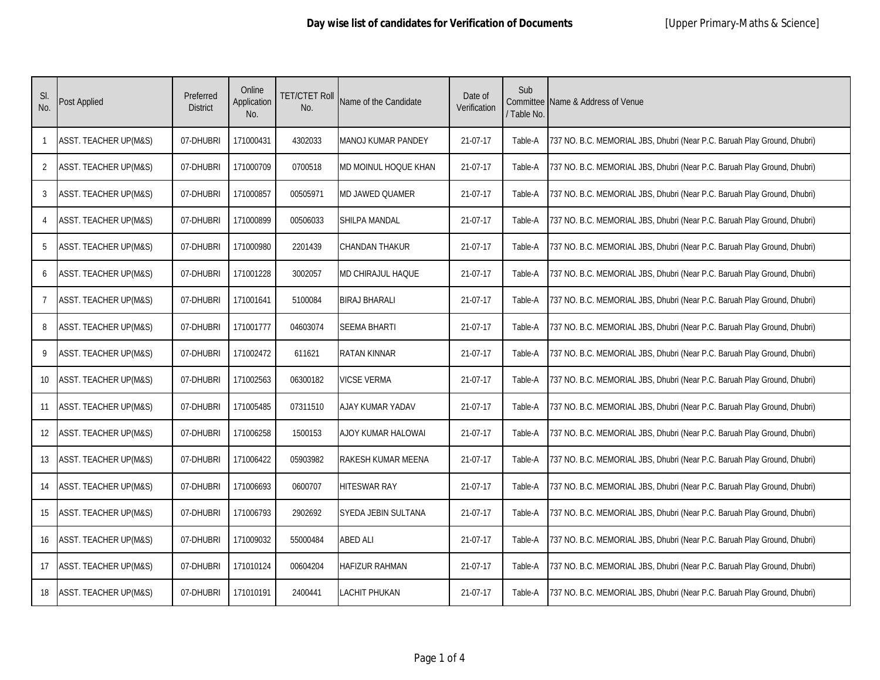| SI.<br>No.     | Post Applied                     | Preferred<br><b>District</b> | Online<br>Application<br>No. | TET/CTET Roll<br>No. | Name of the Candidate     | Date of<br>Verification | Sub<br>/ Table No. | Committee Name & Address of Venue                                        |
|----------------|----------------------------------|------------------------------|------------------------------|----------------------|---------------------------|-------------------------|--------------------|--------------------------------------------------------------------------|
| 1              | <b>ASST. TEACHER UP(M&amp;S)</b> | 07-DHUBRI                    | 171000431                    | 4302033              | <b>MANOJ KUMAR PANDEY</b> | 21-07-17                | Table-A            | 737 NO. B.C. MEMORIAL JBS, Dhubri (Near P.C. Baruah Play Ground, Dhubri) |
| 2              | <b>ASST. TEACHER UP(M&amp;S)</b> | 07-DHUBRI                    | 171000709                    | 0700518              | MD MOINUL HOQUE KHAN      | 21-07-17                | Table-A            | 737 NO. B.C. MEMORIAL JBS, Dhubri (Near P.C. Baruah Play Ground, Dhubri) |
| 3              | <b>ASST. TEACHER UP(M&amp;S)</b> | 07-DHUBRI                    | 171000857                    | 00505971             | MD JAWED QUAMER           | 21-07-17                | Table-A            | 737 NO. B.C. MEMORIAL JBS, Dhubri (Near P.C. Baruah Play Ground, Dhubri) |
| 4              | <b>ASST. TEACHER UP(M&amp;S)</b> | 07-DHUBRI                    | 171000899                    | 00506033             | <b>SHILPA MANDAL</b>      | 21-07-17                | Table-A            | 737 NO. B.C. MEMORIAL JBS, Dhubri (Near P.C. Baruah Play Ground, Dhubri) |
| 5              | <b>ASST. TEACHER UP(M&amp;S)</b> | 07-DHUBRI                    | 171000980                    | 2201439              | <b>CHANDAN THAKUR</b>     | 21-07-17                | Table-A            | 737 NO. B.C. MEMORIAL JBS, Dhubri (Near P.C. Baruah Play Ground, Dhubri) |
| 6              | <b>ASST. TEACHER UP(M&amp;S)</b> | 07-DHUBRI                    | 171001228                    | 3002057              | <b>MD CHIRAJUL HAQUE</b>  | 21-07-17                | Table-A            | 737 NO. B.C. MEMORIAL JBS, Dhubri (Near P.C. Baruah Play Ground, Dhubri) |
| $\overline{7}$ | <b>ASST. TEACHER UP(M&amp;S)</b> | 07-DHUBRI                    | 171001641                    | 5100084              | <b>BIRAJ BHARALI</b>      | 21-07-17                | Table-A            | 737 NO. B.C. MEMORIAL JBS, Dhubri (Near P.C. Baruah Play Ground, Dhubri) |
| 8              | <b>ASST. TEACHER UP(M&amp;S)</b> | 07-DHUBRI                    | 171001777                    | 04603074             | <b>SEEMA BHARTI</b>       | 21-07-17                | Table-A            | 737 NO. B.C. MEMORIAL JBS, Dhubri (Near P.C. Baruah Play Ground, Dhubri) |
| 9              | <b>ASST. TEACHER UP(M&amp;S)</b> | 07-DHUBRI                    | 171002472                    | 611621               | <b>RATAN KINNAR</b>       | 21-07-17                | Table-A            | 737 NO. B.C. MEMORIAL JBS, Dhubri (Near P.C. Baruah Play Ground, Dhubri) |
| 10             | <b>ASST. TEACHER UP(M&amp;S)</b> | 07-DHUBRI                    | 171002563                    | 06300182             | <b>VICSE VERMA</b>        | 21-07-17                | Table-A            | 737 NO. B.C. MEMORIAL JBS, Dhubri (Near P.C. Baruah Play Ground, Dhubri) |
| 11             | <b>ASST. TEACHER UP(M&amp;S)</b> | 07-DHUBRI                    | 171005485                    | 07311510             | AJAY KUMAR YADAV          | 21-07-17                | Table-A            | 737 NO. B.C. MEMORIAL JBS, Dhubri (Near P.C. Baruah Play Ground, Dhubri) |
| 12             | <b>ASST. TEACHER UP(M&amp;S)</b> | 07-DHUBRI                    | 171006258                    | 1500153              | AJOY KUMAR HALOWAI        | 21-07-17                | Table-A            | 737 NO. B.C. MEMORIAL JBS, Dhubri (Near P.C. Baruah Play Ground, Dhubri) |
| 13             | ASST. TEACHER UP(M&S)            | 07-DHUBRI                    | 171006422                    | 05903982             | <b>RAKESH KUMAR MEENA</b> | 21-07-17                | Table-A            | 737 NO. B.C. MEMORIAL JBS, Dhubri (Near P.C. Baruah Play Ground, Dhubri) |
| 14             | <b>ASST. TEACHER UP(M&amp;S)</b> | 07-DHUBRI                    | 171006693                    | 0600707              | <b>HITESWAR RAY</b>       | 21-07-17                | Table-A            | 737 NO. B.C. MEMORIAL JBS, Dhubri (Near P.C. Baruah Play Ground, Dhubri) |
| 15             | <b>ASST. TEACHER UP(M&amp;S)</b> | 07-DHUBRI                    | 171006793                    | 2902692              | SYEDA JEBIN SULTANA       | 21-07-17                | Table-A            | 737 NO. B.C. MEMORIAL JBS, Dhubri (Near P.C. Baruah Play Ground, Dhubri) |
| 16             | <b>ASST. TEACHER UP(M&amp;S)</b> | 07-DHUBRI                    | 171009032                    | 55000484             | <b>ABED ALI</b>           | 21-07-17                | Table-A            | 737 NO. B.C. MEMORIAL JBS, Dhubri (Near P.C. Baruah Play Ground, Dhubri) |
| 17             | <b>ASST. TEACHER UP(M&amp;S)</b> | 07-DHUBRI                    | 171010124                    | 00604204             | <b>HAFIZUR RAHMAN</b>     | 21-07-17                | Table-A            | 737 NO. B.C. MEMORIAL JBS, Dhubri (Near P.C. Baruah Play Ground, Dhubri) |
| 18             | <b>ASST. TEACHER UP(M&amp;S)</b> | 07-DHUBRI                    | 171010191                    | 2400441              | <b>LACHIT PHUKAN</b>      | 21-07-17                | Table-A            | 737 NO. B.C. MEMORIAL JBS, Dhubri (Near P.C. Baruah Play Ground, Dhubri) |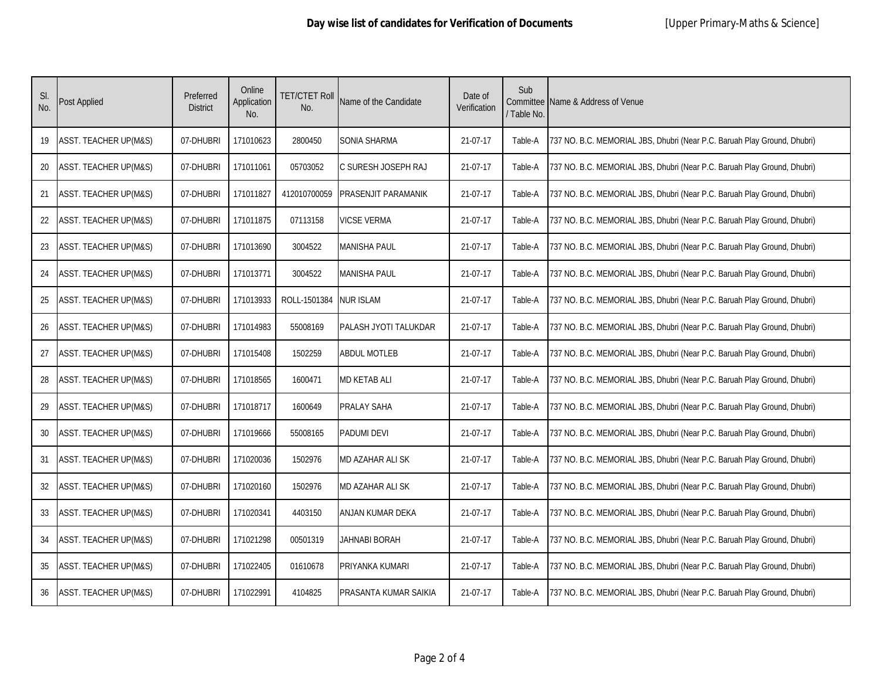| SI.<br>No. | Post Applied                     | Preferred<br><b>District</b> | Online<br>Application<br>No. | TET/CTET Roll<br>No. | Name of the Candidate        | Date of<br>Verification | Sub<br>/ Table No. | Committee Name & Address of Venue                                        |
|------------|----------------------------------|------------------------------|------------------------------|----------------------|------------------------------|-------------------------|--------------------|--------------------------------------------------------------------------|
| 19         | <b>ASST. TEACHER UP(M&amp;S)</b> | 07-DHUBRI                    | 171010623                    | 2800450              | SONIA SHARMA                 | 21-07-17                | Table-A            | 737 NO. B.C. MEMORIAL JBS, Dhubri (Near P.C. Baruah Play Ground, Dhubri) |
| 20         | <b>ASST. TEACHER UP(M&amp;S)</b> | 07-DHUBRI                    | 171011061                    | 05703052             | C SURESH JOSEPH RAJ          | 21-07-17                | Table-A            | 737 NO. B.C. MEMORIAL JBS, Dhubri (Near P.C. Baruah Play Ground, Dhubri) |
| 21         | <b>ASST. TEACHER UP(M&amp;S)</b> | 07-DHUBRI                    | 171011827                    | 412010700059         | <b>PRASENJIT PARAMANIK</b>   | 21-07-17                | Table-A            | 737 NO. B.C. MEMORIAL JBS, Dhubri (Near P.C. Baruah Play Ground, Dhubri) |
| 22         | <b>ASST. TEACHER UP(M&amp;S)</b> | 07-DHUBRI                    | 171011875                    | 07113158             | <b>VICSE VERMA</b>           | 21-07-17                | Table-A            | 737 NO. B.C. MEMORIAL JBS, Dhubri (Near P.C. Baruah Play Ground, Dhubri) |
| 23         | <b>ASST. TEACHER UP(M&amp;S)</b> | 07-DHUBRI                    | 171013690                    | 3004522              | <b>MANISHA PAUL</b>          | 21-07-17                | Table-A            | 737 NO. B.C. MEMORIAL JBS, Dhubri (Near P.C. Baruah Play Ground, Dhubri) |
| 24         | <b>ASST. TEACHER UP(M&amp;S)</b> | 07-DHUBRI                    | 171013771                    | 3004522              | <b>MANISHA PAUL</b>          | 21-07-17                | Table-A            | 737 NO. B.C. MEMORIAL JBS, Dhubri (Near P.C. Baruah Play Ground, Dhubri) |
| 25         | <b>ASST. TEACHER UP(M&amp;S)</b> | 07-DHUBRI                    | 171013933                    | ROLL-1501384         | <b>NUR ISLAM</b>             | 21-07-17                | Table-A            | 737 NO. B.C. MEMORIAL JBS, Dhubri (Near P.C. Baruah Play Ground, Dhubri) |
| 26         | <b>ASST. TEACHER UP(M&amp;S)</b> | 07-DHUBRI                    | 171014983                    | 55008169             | <b>PALASH JYOTI TALUKDAR</b> | 21-07-17                | Table-A            | 737 NO. B.C. MEMORIAL JBS, Dhubri (Near P.C. Baruah Play Ground, Dhubri) |
| 27         | <b>ASST. TEACHER UP(M&amp;S)</b> | 07-DHUBRI                    | 171015408                    | 1502259              | <b>ABDUL MOTLEB</b>          | 21-07-17                | Table-A            | 737 NO. B.C. MEMORIAL JBS, Dhubri (Near P.C. Baruah Play Ground, Dhubri) |
| 28         | <b>ASST. TEACHER UP(M&amp;S)</b> | 07-DHUBRI                    | 171018565                    | 1600471              | <b>MD KETAB ALI</b>          | 21-07-17                | Table-A            | 737 NO. B.C. MEMORIAL JBS, Dhubri (Near P.C. Baruah Play Ground, Dhubri) |
| 29         | <b>ASST. TEACHER UP(M&amp;S)</b> | 07-DHUBRI                    | 171018717                    | 1600649              | PRALAY SAHA                  | 21-07-17                | Table-A            | 737 NO. B.C. MEMORIAL JBS, Dhubri (Near P.C. Baruah Play Ground, Dhubri) |
| 30         | <b>ASST. TEACHER UP(M&amp;S)</b> | 07-DHUBRI                    | 171019666                    | 55008165             | <b>PADUMI DEVI</b>           | 21-07-17                | Table-A            | 737 NO. B.C. MEMORIAL JBS, Dhubri (Near P.C. Baruah Play Ground, Dhubri) |
| 31         | <b>ASST. TEACHER UP(M&amp;S)</b> | 07-DHUBRI                    | 171020036                    | 1502976              | <b>MD AZAHAR ALI SK</b>      | 21-07-17                | Table-A            | 737 NO. B.C. MEMORIAL JBS, Dhubri (Near P.C. Baruah Play Ground, Dhubri) |
| 32         | <b>ASST. TEACHER UP(M&amp;S)</b> | 07-DHUBRI                    | 171020160                    | 1502976              | <b>MD AZAHAR ALI SK</b>      | 21-07-17                | Table-A            | 737 NO. B.C. MEMORIAL JBS, Dhubri (Near P.C. Baruah Play Ground, Dhubri) |
| 33         | <b>ASST. TEACHER UP(M&amp;S)</b> | 07-DHUBRI                    | 171020341                    | 4403150              | ANJAN KUMAR DEKA             | 21-07-17                | Table-A            | 737 NO. B.C. MEMORIAL JBS, Dhubri (Near P.C. Baruah Play Ground, Dhubri) |
| 34         | <b>ASST. TEACHER UP(M&amp;S)</b> | 07-DHUBRI                    | 171021298                    | 00501319             | JAHNABI BORAH                | 21-07-17                | Table-A            | 737 NO. B.C. MEMORIAL JBS, Dhubri (Near P.C. Baruah Play Ground, Dhubri) |
| 35         | <b>ASST. TEACHER UP(M&amp;S)</b> | 07-DHUBRI                    | 171022405                    | 01610678             | PRIYANKA KUMARI              | 21-07-17                | Table-A            | 737 NO. B.C. MEMORIAL JBS, Dhubri (Near P.C. Baruah Play Ground, Dhubri) |
| 36         | <b>ASST. TEACHER UP(M&amp;S)</b> | 07-DHUBRI                    | 171022991                    | 4104825              | PRASANTA KUMAR SAIKIA        | 21-07-17                | Table-A            | 737 NO. B.C. MEMORIAL JBS, Dhubri (Near P.C. Baruah Play Ground, Dhubri) |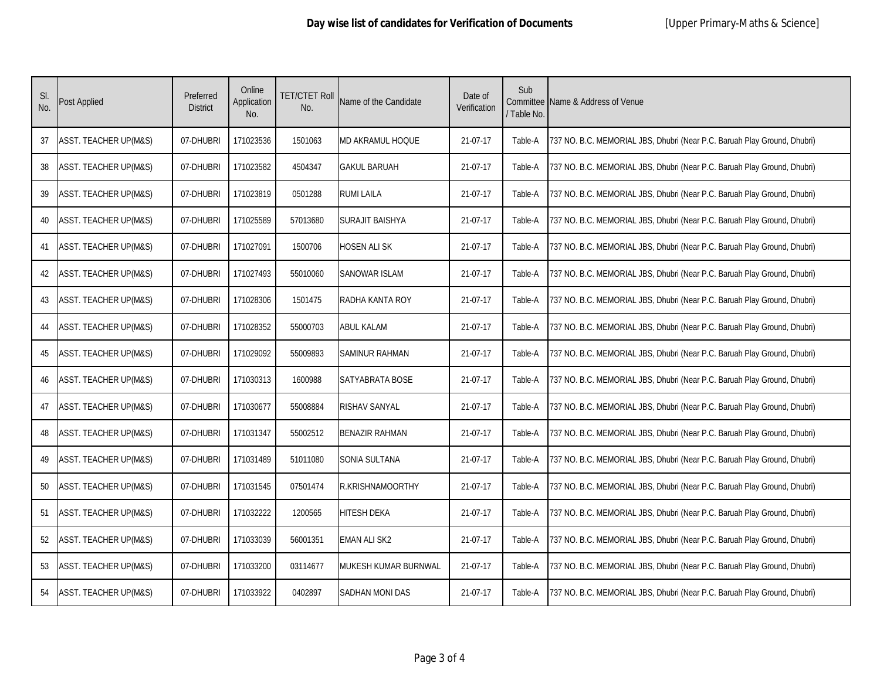| SI.<br>No. | Post Applied                     | Preferred<br><b>District</b> | Online<br>Application<br>No. | TET/CTET Roll<br>No. | Name of the Candidate   | Date of<br>Verification | Sub<br>/ Table No. | Committee Name & Address of Venue                                        |
|------------|----------------------------------|------------------------------|------------------------------|----------------------|-------------------------|-------------------------|--------------------|--------------------------------------------------------------------------|
| 37         | <b>ASST. TEACHER UP(M&amp;S)</b> | 07-DHUBRI                    | 171023536                    | 1501063              | MD AKRAMUL HOQUE        | 21-07-17                | Table-A            | 737 NO. B.C. MEMORIAL JBS, Dhubri (Near P.C. Baruah Play Ground, Dhubri) |
| 38         | <b>ASST. TEACHER UP(M&amp;S)</b> | 07-DHUBRI                    | 171023582                    | 4504347              | <b>GAKUL BARUAH</b>     | 21-07-17                | Table-A            | 737 NO. B.C. MEMORIAL JBS, Dhubri (Near P.C. Baruah Play Ground, Dhubri) |
| 39         | <b>ASST. TEACHER UP(M&amp;S)</b> | 07-DHUBRI                    | 171023819                    | 0501288              | <b>RUMI LAILA</b>       | 21-07-17                | Table-A            | 737 NO. B.C. MEMORIAL JBS, Dhubri (Near P.C. Baruah Play Ground, Dhubri) |
| 40         | <b>ASST. TEACHER UP(M&amp;S)</b> | 07-DHUBRI                    | 171025589                    | 57013680             | <b>SURAJIT BAISHYA</b>  | 21-07-17                | Table-A            | 737 NO. B.C. MEMORIAL JBS, Dhubri (Near P.C. Baruah Play Ground, Dhubri) |
| 41         | <b>ASST. TEACHER UP(M&amp;S)</b> | 07-DHUBRI                    | 171027091                    | 1500706              | <b>HOSEN ALI SK</b>     | 21-07-17                | Table-A            | 737 NO. B.C. MEMORIAL JBS, Dhubri (Near P.C. Baruah Play Ground, Dhubri) |
| 42         | <b>ASST. TEACHER UP(M&amp;S)</b> | 07-DHUBRI                    | 171027493                    | 55010060             | <b>SANOWAR ISLAM</b>    | 21-07-17                | Table-A            | 737 NO. B.C. MEMORIAL JBS, Dhubri (Near P.C. Baruah Play Ground, Dhubri) |
| 43         | <b>ASST. TEACHER UP(M&amp;S)</b> | 07-DHUBRI                    | 171028306                    | 1501475              | <b>RADHA KANTA ROY</b>  | 21-07-17                | Table-A            | 737 NO. B.C. MEMORIAL JBS, Dhubri (Near P.C. Baruah Play Ground, Dhubri) |
| 44         | <b>ASST. TEACHER UP(M&amp;S)</b> | 07-DHUBRI                    | 171028352                    | 55000703             | <b>ABUL KALAM</b>       | 21-07-17                | Table-A            | 737 NO. B.C. MEMORIAL JBS, Dhubri (Near P.C. Baruah Play Ground, Dhubri) |
| 45         | <b>ASST. TEACHER UP(M&amp;S)</b> | 07-DHUBRI                    | 171029092                    | 55009893             | <b>SAMINUR RAHMAN</b>   | 21-07-17                | Table-A            | 737 NO. B.C. MEMORIAL JBS, Dhubri (Near P.C. Baruah Play Ground, Dhubri) |
| 46         | <b>ASST. TEACHER UP(M&amp;S)</b> | 07-DHUBRI                    | 171030313                    | 1600988              | <b>SATYABRATA BOSE</b>  | 21-07-17                | Table-A            | 737 NO. B.C. MEMORIAL JBS, Dhubri (Near P.C. Baruah Play Ground, Dhubri) |
| 47         | <b>ASST. TEACHER UP(M&amp;S)</b> | 07-DHUBRI                    | 171030677                    | 55008884             | <b>RISHAV SANYAL</b>    | 21-07-17                | Table-A            | 737 NO. B.C. MEMORIAL JBS, Dhubri (Near P.C. Baruah Play Ground, Dhubri) |
| 48         | <b>ASST. TEACHER UP(M&amp;S)</b> | 07-DHUBRI                    | 171031347                    | 55002512             | <b>BENAZIR RAHMAN</b>   | 21-07-17                | Table-A            | 737 NO. B.C. MEMORIAL JBS, Dhubri (Near P.C. Baruah Play Ground, Dhubri) |
| 49         | <b>ASST. TEACHER UP(M&amp;S)</b> | 07-DHUBRI                    | 171031489                    | 51011080             | SONIA SULTANA           | 21-07-17                | Table-A            | 737 NO. B.C. MEMORIAL JBS, Dhubri (Near P.C. Baruah Play Ground, Dhubri) |
| 50         | <b>ASST. TEACHER UP(M&amp;S)</b> | 07-DHUBRI                    | 171031545                    | 07501474             | <b>R.KRISHNAMOORTHY</b> | 21-07-17                | Table-A            | 737 NO. B.C. MEMORIAL JBS, Dhubri (Near P.C. Baruah Play Ground, Dhubri) |
| 51         | <b>ASST. TEACHER UP(M&amp;S)</b> | 07-DHUBRI                    | 171032222                    | 1200565              | <b>HITESH DEKA</b>      | 21-07-17                | Table-A            | 737 NO. B.C. MEMORIAL JBS, Dhubri (Near P.C. Baruah Play Ground, Dhubri) |
| 52         | <b>ASST. TEACHER UP(M&amp;S)</b> | 07-DHUBRI                    | 171033039                    | 56001351             | <b>EMAN ALI SK2</b>     | 21-07-17                | Table-A            | 737 NO. B.C. MEMORIAL JBS, Dhubri (Near P.C. Baruah Play Ground, Dhubri) |
| 53         | <b>ASST. TEACHER UP(M&amp;S)</b> | 07-DHUBRI                    | 171033200                    | 03114677             | MUKESH KUMAR BURNWAL    | 21-07-17                | Table-A            | 737 NO. B.C. MEMORIAL JBS, Dhubri (Near P.C. Baruah Play Ground, Dhubri) |
| 54         | <b>ASST. TEACHER UP(M&amp;S)</b> | 07-DHUBRI                    | 171033922                    | 0402897              | <b>SADHAN MONI DAS</b>  | 21-07-17                | Table-A            | 737 NO. B.C. MEMORIAL JBS, Dhubri (Near P.C. Baruah Play Ground, Dhubri) |